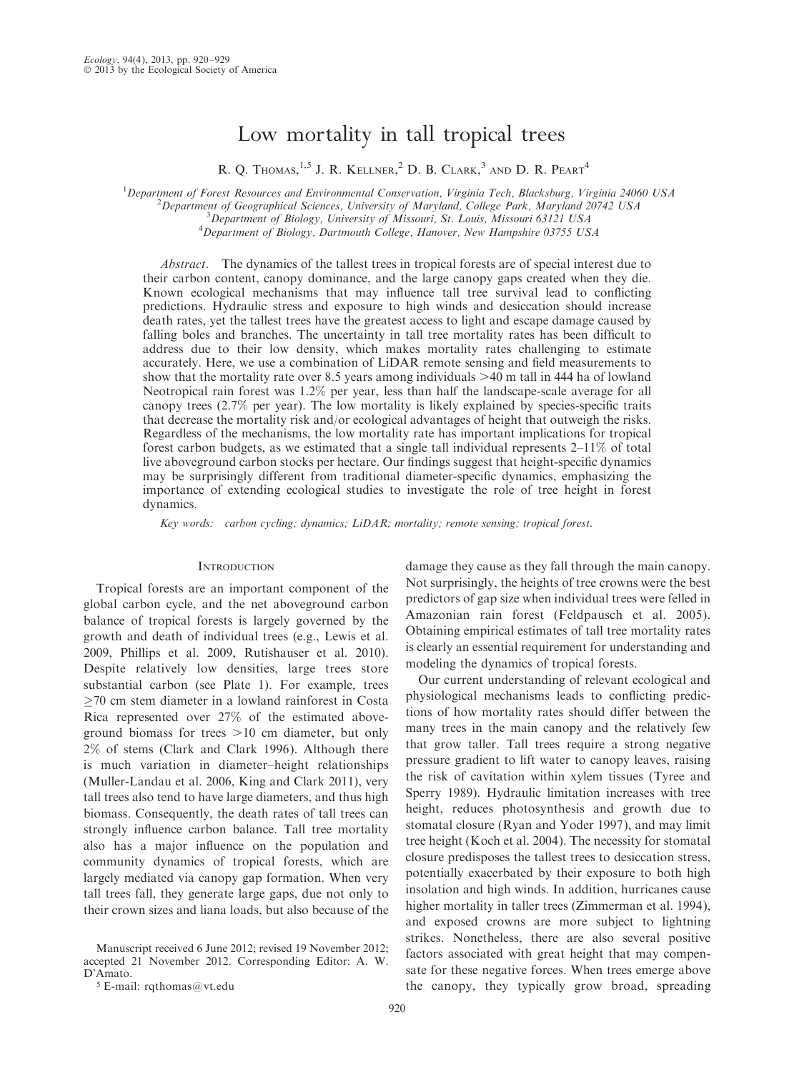# Low mortality in tall tropical trees

R. Q. Thomas,  $^{1,5}$  J. R. Kellner,  $^2$  D. B. Clark,  $^3$  and D. R. Peart<sup>4</sup>

<sup>1</sup>Department of Forest Resources and Environmental Conservation, Virginia Tech, Blacksburg, Virginia 24060 USA<br><sup>2</sup>Department of Coographical Sciences, University of Manyland College Bark, Manyland 20742 USA  $^2$ Department of Geographical Sciences, University of Maryland, College Park, Maryland 20742 USA <sup>3</sup>Department of Biology, University of Missouri, St. Louis, Missouri 63121 USA <sup>4</sup>Department of Biology, Dartmouth College, Hanover, New Hampshire 03755 USA

Abstract. The dynamics of the tallest trees in tropical forests are of special interest due to their carbon content, canopy dominance, and the large canopy gaps created when they die. Known ecological mechanisms that may influence tall tree survival lead to conflicting predictions. Hydraulic stress and exposure to high winds and desiccation should increase death rates, yet the tallest trees have the greatest access to light and escape damage caused by falling boles and branches. The uncertainty in tall tree mortality rates has been difficult to address due to their low density, which makes mortality rates challenging to estimate accurately. Here, we use a combination of LiDAR remote sensing and field measurements to show that the mortality rate over 8.5 years among individuals  $>40$  m tall in 444 ha of lowland Neotropical rain forest was 1.2% per year, less than half the landscape-scale average for all canopy trees (2.7% per year). The low mortality is likely explained by species-specific traits that decrease the mortality risk and/or ecological advantages of height that outweigh the risks. Regardless of the mechanisms, the low mortality rate has important implications for tropical forest carbon budgets, as we estimated that a single tall individual represents 2–11% of total live aboveground carbon stocks per hectare. Our findings suggest that height-specific dynamics may be surprisingly different from traditional diameter-specific dynamics, emphasizing the importance of extending ecological studies to investigate the role of tree height in forest dynamics.

Key words: carbon cycling; dynamics; LiDAR; mortality; remote sensing; tropical forest.

## **INTRODUCTION**

Tropical forests are an important component of the global carbon cycle, and the net aboveground carbon balance of tropical forests is largely governed by the growth and death of individual trees (e.g., Lewis et al. 2009, Phillips et al. 2009, Rutishauser et al. 2010). Despite relatively low densities, large trees store substantial carbon (see Plate 1). For example, trees  $\geq$ 70 cm stem diameter in a lowland rainforest in Costa Rica represented over 27% of the estimated aboveground biomass for trees  $>10$  cm diameter, but only 2% of stems (Clark and Clark 1996). Although there is much variation in diameter–height relationships (Muller-Landau et al. 2006, King and Clark 2011), very tall trees also tend to have large diameters, and thus high biomass. Consequently, the death rates of tall trees can strongly influence carbon balance. Tall tree mortality also has a major influence on the population and community dynamics of tropical forests, which are largely mediated via canopy gap formation. When very tall trees fall, they generate large gaps, due not only to their crown sizes and liana loads, but also because of the

Manuscript received 6 June 2012; revised 19 November 2012; accepted 21 November 2012. Corresponding Editor: A. W. D'Amato.

<sup>5</sup> E-mail: rqthomas@vt.edu

damage they cause as they fall through the main canopy. Not surprisingly, the heights of tree crowns were the best predictors of gap size when individual trees were felled in Amazonian rain forest (Feldpausch et al. 2005). Obtaining empirical estimates of tall tree mortality rates is clearly an essential requirement for understanding and modeling the dynamics of tropical forests.

Our current understanding of relevant ecological and physiological mechanisms leads to conflicting predictions of how mortality rates should differ between the many trees in the main canopy and the relatively few that grow taller. Tall trees require a strong negative pressure gradient to lift water to canopy leaves, raising the risk of cavitation within xylem tissues (Tyree and Sperry 1989). Hydraulic limitation increases with tree height, reduces photosynthesis and growth due to stomatal closure (Ryan and Yoder 1997), and may limit tree height (Koch et al. 2004). The necessity for stomatal closure predisposes the tallest trees to desiccation stress, potentially exacerbated by their exposure to both high insolation and high winds. In addition, hurricanes cause higher mortality in taller trees (Zimmerman et al. 1994), and exposed crowns are more subject to lightning strikes. Nonetheless, there are also several positive factors associated with great height that may compensate for these negative forces. When trees emerge above the canopy, they typically grow broad, spreading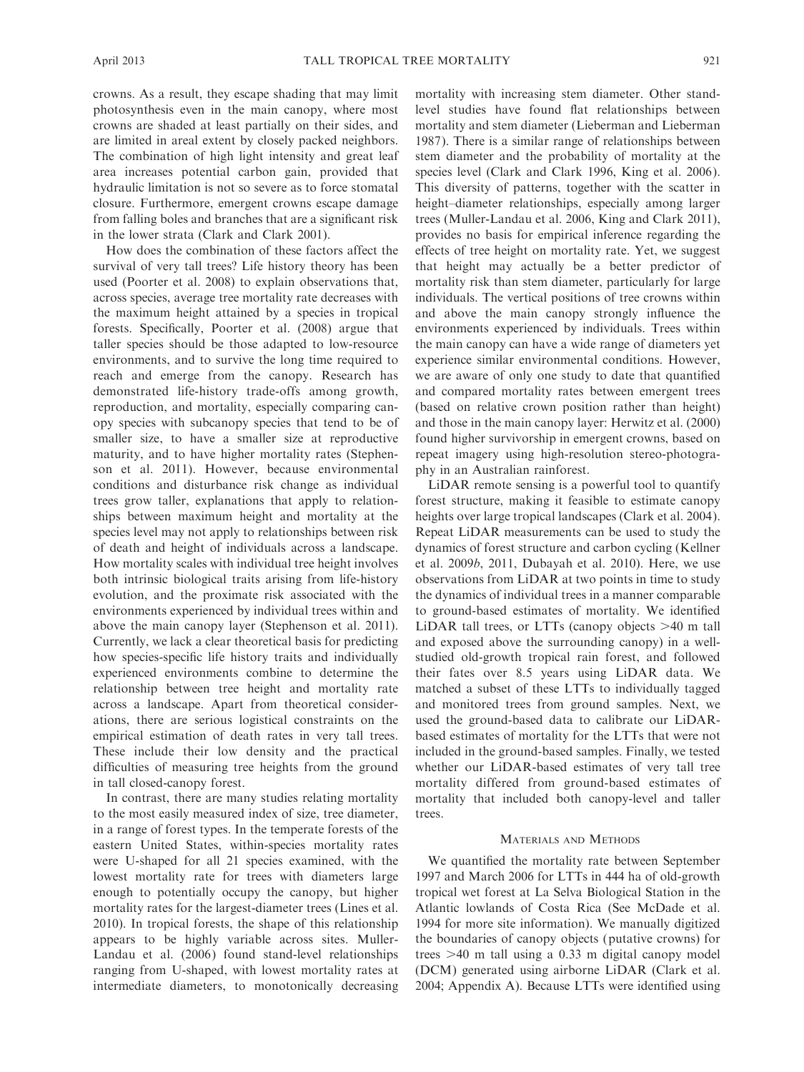crowns. As a result, they escape shading that may limit photosynthesis even in the main canopy, where most crowns are shaded at least partially on their sides, and are limited in areal extent by closely packed neighbors. The combination of high light intensity and great leaf area increases potential carbon gain, provided that hydraulic limitation is not so severe as to force stomatal closure. Furthermore, emergent crowns escape damage from falling boles and branches that are a significant risk in the lower strata (Clark and Clark 2001).

How does the combination of these factors affect the survival of very tall trees? Life history theory has been used (Poorter et al. 2008) to explain observations that, across species, average tree mortality rate decreases with the maximum height attained by a species in tropical forests. Specifically, Poorter et al. (2008) argue that taller species should be those adapted to low-resource environments, and to survive the long time required to reach and emerge from the canopy. Research has demonstrated life-history trade-offs among growth, reproduction, and mortality, especially comparing canopy species with subcanopy species that tend to be of smaller size, to have a smaller size at reproductive maturity, and to have higher mortality rates (Stephenson et al. 2011). However, because environmental conditions and disturbance risk change as individual trees grow taller, explanations that apply to relationships between maximum height and mortality at the species level may not apply to relationships between risk of death and height of individuals across a landscape. How mortality scales with individual tree height involves both intrinsic biological traits arising from life-history evolution, and the proximate risk associated with the environments experienced by individual trees within and above the main canopy layer (Stephenson et al. 2011). Currently, we lack a clear theoretical basis for predicting how species-specific life history traits and individually experienced environments combine to determine the relationship between tree height and mortality rate across a landscape. Apart from theoretical considerations, there are serious logistical constraints on the empirical estimation of death rates in very tall trees. These include their low density and the practical difficulties of measuring tree heights from the ground in tall closed-canopy forest.

In contrast, there are many studies relating mortality to the most easily measured index of size, tree diameter, in a range of forest types. In the temperate forests of the eastern United States, within-species mortality rates were U-shaped for all 21 species examined, with the lowest mortality rate for trees with diameters large enough to potentially occupy the canopy, but higher mortality rates for the largest-diameter trees (Lines et al. 2010). In tropical forests, the shape of this relationship appears to be highly variable across sites. Muller-Landau et al. (2006) found stand-level relationships ranging from U-shaped, with lowest mortality rates at intermediate diameters, to monotonically decreasing mortality with increasing stem diameter. Other standlevel studies have found flat relationships between mortality and stem diameter (Lieberman and Lieberman 1987). There is a similar range of relationships between stem diameter and the probability of mortality at the species level (Clark and Clark 1996, King et al. 2006). This diversity of patterns, together with the scatter in height–diameter relationships, especially among larger trees (Muller-Landau et al. 2006, King and Clark 2011), provides no basis for empirical inference regarding the effects of tree height on mortality rate. Yet, we suggest that height may actually be a better predictor of mortality risk than stem diameter, particularly for large individuals. The vertical positions of tree crowns within and above the main canopy strongly influence the environments experienced by individuals. Trees within the main canopy can have a wide range of diameters yet experience similar environmental conditions. However, we are aware of only one study to date that quantified and compared mortality rates between emergent trees (based on relative crown position rather than height) and those in the main canopy layer: Herwitz et al. (2000) found higher survivorship in emergent crowns, based on repeat imagery using high-resolution stereo-photography in an Australian rainforest.

LiDAR remote sensing is a powerful tool to quantify forest structure, making it feasible to estimate canopy heights over large tropical landscapes (Clark et al. 2004). Repeat LiDAR measurements can be used to study the dynamics of forest structure and carbon cycling (Kellner et al. 2009b, 2011, Dubayah et al. 2010). Here, we use observations from LiDAR at two points in time to study the dynamics of individual trees in a manner comparable to ground-based estimates of mortality. We identified LiDAR tall trees, or LTTs (canopy objects  $>40$  m tall and exposed above the surrounding canopy) in a wellstudied old-growth tropical rain forest, and followed their fates over 8.5 years using LiDAR data. We matched a subset of these LTTs to individually tagged and monitored trees from ground samples. Next, we used the ground-based data to calibrate our LiDARbased estimates of mortality for the LTTs that were not included in the ground-based samples. Finally, we tested whether our LiDAR-based estimates of very tall tree mortality differed from ground-based estimates of mortality that included both canopy-level and taller trees.

## MATERIALS AND METHODS

We quantified the mortality rate between September 1997 and March 2006 for LTTs in 444 ha of old-growth tropical wet forest at La Selva Biological Station in the Atlantic lowlands of Costa Rica (See McDade et al. 1994 for more site information). We manually digitized the boundaries of canopy objects (putative crowns) for trees  $>40$  m tall using a 0.33 m digital canopy model (DCM) generated using airborne LiDAR (Clark et al. 2004; Appendix A). Because LTTs were identified using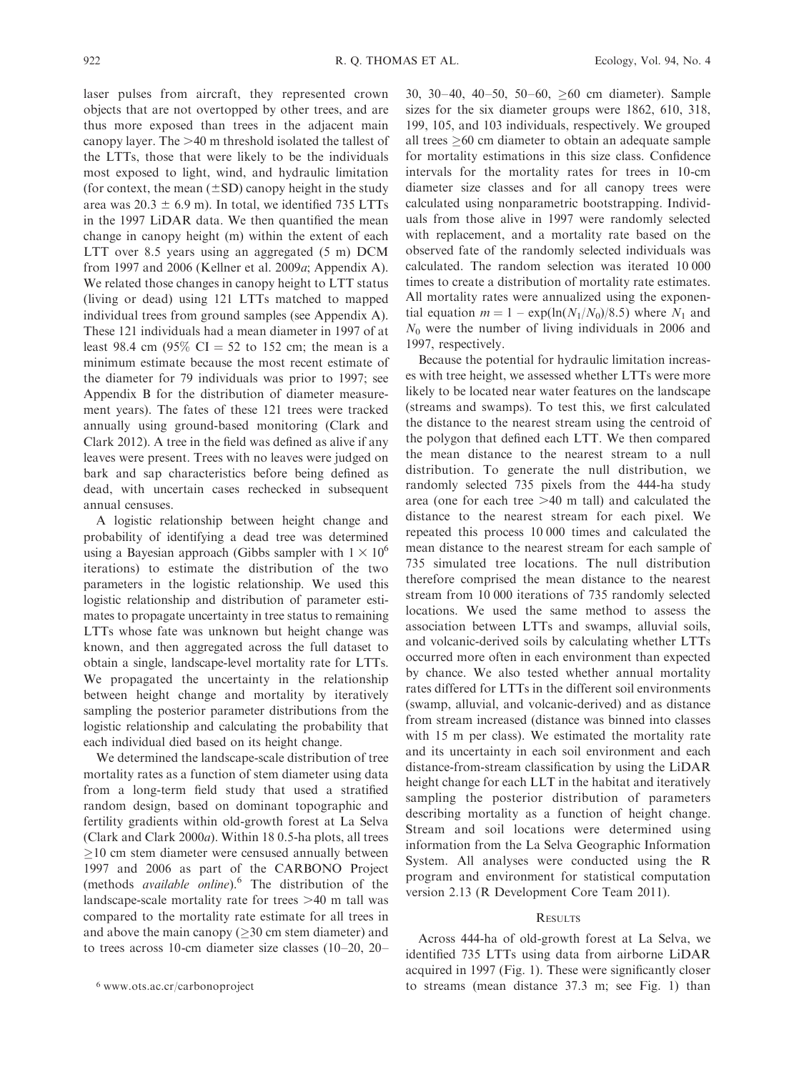laser pulses from aircraft, they represented crown objects that are not overtopped by other trees, and are thus more exposed than trees in the adjacent main canopy layer. The  $>40$  m threshold isolated the tallest of the LTTs, those that were likely to be the individuals most exposed to light, wind, and hydraulic limitation (for context, the mean  $(\pm SD)$  canopy height in the study area was  $20.3 \pm 6.9$  m). In total, we identified 735 LTTs in the 1997 LiDAR data. We then quantified the mean change in canopy height (m) within the extent of each LTT over 8.5 years using an aggregated (5 m) DCM from 1997 and 2006 (Kellner et al. 2009a; Appendix A). We related those changes in canopy height to LTT status (living or dead) using 121 LTTs matched to mapped individual trees from ground samples (see Appendix A). These 121 individuals had a mean diameter in 1997 of at least 98.4 cm (95%  $CI = 52$  to 152 cm; the mean is a minimum estimate because the most recent estimate of the diameter for 79 individuals was prior to 1997; see Appendix B for the distribution of diameter measurement years). The fates of these 121 trees were tracked annually using ground-based monitoring (Clark and Clark 2012). A tree in the field was defined as alive if any leaves were present. Trees with no leaves were judged on bark and sap characteristics before being defined as dead, with uncertain cases rechecked in subsequent annual censuses.

A logistic relationship between height change and probability of identifying a dead tree was determined using a Bayesian approach (Gibbs sampler with  $1 \times 10^6$ ) iterations) to estimate the distribution of the two parameters in the logistic relationship. We used this logistic relationship and distribution of parameter estimates to propagate uncertainty in tree status to remaining LTTs whose fate was unknown but height change was known, and then aggregated across the full dataset to obtain a single, landscape-level mortality rate for LTTs. We propagated the uncertainty in the relationship between height change and mortality by iteratively sampling the posterior parameter distributions from the logistic relationship and calculating the probability that each individual died based on its height change.

We determined the landscape-scale distribution of tree mortality rates as a function of stem diameter using data from a long-term field study that used a stratified random design, based on dominant topographic and fertility gradients within old-growth forest at La Selva (Clark and Clark 2000a). Within 18 0.5-ha plots, all trees  $\geq$ 10 cm stem diameter were censused annually between 1997 and 2006 as part of the CARBONO Project (methods available online).6 The distribution of the landscape-scale mortality rate for trees  $>40$  m tall was compared to the mortality rate estimate for all trees in and above the main canopy ( $\geq$ 30 cm stem diameter) and to trees across 10-cm diameter size classes (10–20, 20–

30, 30–40, 40–50, 50–60,  $\geq 60$  cm diameter). Sample sizes for the six diameter groups were 1862, 610, 318, 199, 105, and 103 individuals, respectively. We grouped all trees  $\geq 60$  cm diameter to obtain an adequate sample for mortality estimations in this size class. Confidence intervals for the mortality rates for trees in 10-cm diameter size classes and for all canopy trees were calculated using nonparametric bootstrapping. Individuals from those alive in 1997 were randomly selected with replacement, and a mortality rate based on the observed fate of the randomly selected individuals was calculated. The random selection was iterated 10 000 times to create a distribution of mortality rate estimates. All mortality rates were annualized using the exponential equation  $m = 1 - \exp(\ln(N_1/N_0)/8.5)$  where  $N_1$  and  $N_0$  were the number of living individuals in 2006 and 1997, respectively.

Because the potential for hydraulic limitation increases with tree height, we assessed whether LTTs were more likely to be located near water features on the landscape (streams and swamps). To test this, we first calculated the distance to the nearest stream using the centroid of the polygon that defined each LTT. We then compared the mean distance to the nearest stream to a null distribution. To generate the null distribution, we randomly selected 735 pixels from the 444-ha study area (one for each tree  $>40$  m tall) and calculated the distance to the nearest stream for each pixel. We repeated this process 10 000 times and calculated the mean distance to the nearest stream for each sample of 735 simulated tree locations. The null distribution therefore comprised the mean distance to the nearest stream from 10 000 iterations of 735 randomly selected locations. We used the same method to assess the association between LTTs and swamps, alluvial soils, and volcanic-derived soils by calculating whether LTTs occurred more often in each environment than expected by chance. We also tested whether annual mortality rates differed for LTTs in the different soil environments (swamp, alluvial, and volcanic-derived) and as distance from stream increased (distance was binned into classes with 15 m per class). We estimated the mortality rate and its uncertainty in each soil environment and each distance-from-stream classification by using the LiDAR height change for each LLT in the habitat and iteratively sampling the posterior distribution of parameters describing mortality as a function of height change. Stream and soil locations were determined using information from the La Selva Geographic Information System. All analyses were conducted using the R program and environment for statistical computation version 2.13 (R Development Core Team 2011).

## **RESULTS**

Across 444-ha of old-growth forest at La Selva, we identified 735 LTTs using data from airborne LiDAR acquired in 1997 (Fig. 1). These were significantly closer <sup>6</sup> www.ots.ac.cr/carbonoproject to streams (mean distance 37.3 m; see Fig. 1) than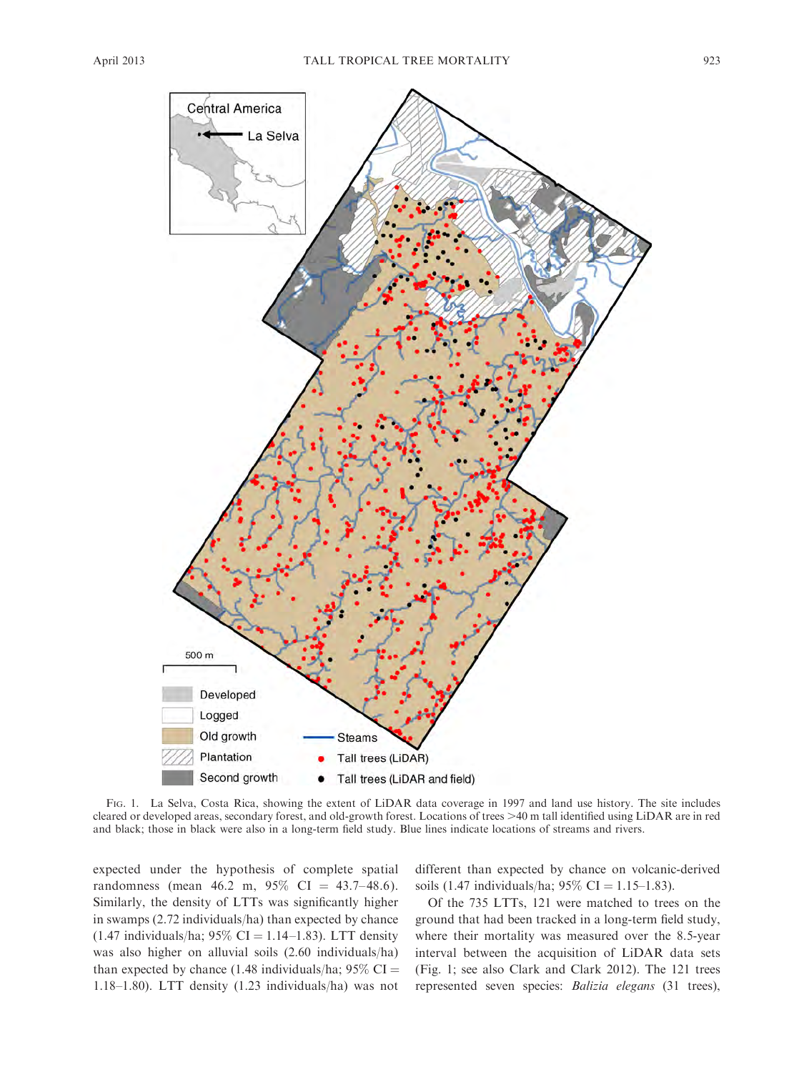

FIG. 1. La Selva, Costa Rica, showing the extent of LiDAR data coverage in 1997 and land use history. The site includes cleared or developed areas, secondary forest, and old-growth forest. Locations of trees >40 m tall identified using LiDAR are in red and black; those in black were also in a long-term field study. Blue lines indicate locations of streams and rivers.

expected under the hypothesis of complete spatial randomness (mean 46.2 m, 95% CI = 43.7–48.6). Similarly, the density of LTTs was significantly higher in swamps (2.72 individuals/ha) than expected by chance  $(1.47 \text{ individuals/ha}; 95\% \text{ CI} = 1.14 - 1.83)$ . LTT density was also higher on alluvial soils (2.60 individuals/ha) than expected by chance (1.48 individuals/ha;  $95\%$  CI = 1.18–1.80). LTT density (1.23 individuals/ha) was not different than expected by chance on volcanic-derived soils (1.47 individuals/ha;  $95\%$  CI = 1.15–1.83).

Of the 735 LTTs, 121 were matched to trees on the ground that had been tracked in a long-term field study, where their mortality was measured over the 8.5-year interval between the acquisition of LiDAR data sets (Fig. 1; see also Clark and Clark 2012). The 121 trees represented seven species: Balizia elegans (31 trees),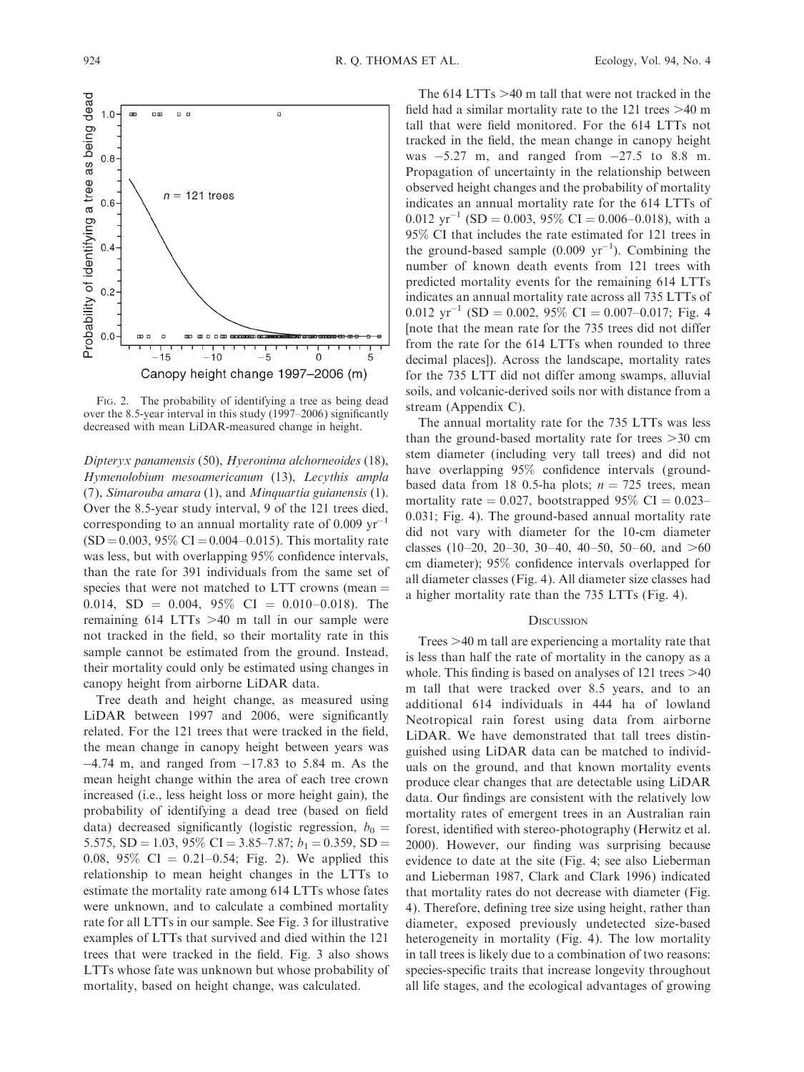

FIG. 2. The probability of identifying a tree as being dead over the 8.5-year interval in this study (1997–2006) significantly decreased with mean LiDAR-measured change in height.

Dipteryx panamensis (50), Hyeronima alchorneoides (18), Hymenolobium mesoamericanum (13), Lecythis ampla (7), Simarouba amara (1), and Minquartia guianensis (1). Over the 8.5-year study interval, 9 of the 121 trees died, corresponding to an annual mortality rate of 0.009  $\text{yr}^{-1}$  $(SD = 0.003, 95\% \text{ CI} = 0.004 - 0.015)$ . This mortality rate was less, but with overlapping 95% confidence intervals, than the rate for 391 individuals from the same set of species that were not matched to LTT crowns (mean  $=$ 0.014, SD = 0.004, 95% CI = 0.010-0.018). The remaining  $614$  LTTs  $>40$  m tall in our sample were not tracked in the field, so their mortality rate in this sample cannot be estimated from the ground. Instead, their mortality could only be estimated using changes in canopy height from airborne LiDAR data.

Tree death and height change, as measured using LiDAR between 1997 and 2006, were significantly related. For the 121 trees that were tracked in the field, the mean change in canopy height between years was  $-4.74$  m, and ranged from  $-17.83$  to 5.84 m. As the mean height change within the area of each tree crown increased (i.e., less height loss or more height gain), the probability of identifying a dead tree (based on field data) decreased significantly (logistic regression,  $b_0$  = 5.575, SD = 1.03, 95% CI = 3.85–7.87;  $b_1 = 0.359$ , SD = 0.08, 95% CI =  $0.21-0.54$ ; Fig. 2). We applied this relationship to mean height changes in the LTTs to estimate the mortality rate among 614 LTTs whose fates were unknown, and to calculate a combined mortality rate for all LTTs in our sample. See Fig. 3 for illustrative examples of LTTs that survived and died within the 121 trees that were tracked in the field. Fig. 3 also shows LTTs whose fate was unknown but whose probability of mortality, based on height change, was calculated.

The 614 LTTs  $>40$  m tall that were not tracked in the field had a similar mortality rate to the 121 trees  $>40$  m tall that were field monitored. For the 614 LTTs not tracked in the field, the mean change in canopy height was  $-5.27$  m, and ranged from  $-27.5$  to 8.8 m. Propagation of uncertainty in the relationship between observed height changes and the probability of mortality indicates an annual mortality rate for the 614 LTTs of  $0.012 \text{ yr}^{-1}$  (SD = 0.003, 95% CI = 0.006–0.018), with a 95% CI that includes the rate estimated for 121 trees in the ground-based sample  $(0.009 \text{ yr}^{-1})$ . Combining the number of known death events from 121 trees with predicted mortality events for the remaining 614 LTTs indicates an annual mortality rate across all 735 LTTs of  $0.012 \text{ yr}^{-1}$  (SD = 0.002, 95% CI = 0.007–0.017; Fig. 4 [note that the mean rate for the 735 trees did not differ from the rate for the 614 LTTs when rounded to three decimal places]). Across the landscape, mortality rates for the 735 LTT did not differ among swamps, alluvial soils, and volcanic-derived soils nor with distance from a stream (Appendix C).

The annual mortality rate for the 735 LTTs was less than the ground-based mortality rate for trees  $>30$  cm stem diameter (including very tall trees) and did not have overlapping 95% confidence intervals (groundbased data from 18 0.5-ha plots;  $n = 725$  trees, mean mortality rate  $= 0.027$ , bootstrapped 95% CI  $= 0.023-$ 0.031; Fig. 4). The ground-based annual mortality rate did not vary with diameter for the 10-cm diameter classes (10–20, 20–30, 30–40, 40–50, 50–60, and  $>60$ cm diameter); 95% confidence intervals overlapped for all diameter classes (Fig. 4). All diameter size classes had a higher mortality rate than the 735 LTTs (Fig. 4).

## **DISCUSSION**

Trees  $>40$  m tall are experiencing a mortality rate that is less than half the rate of mortality in the canopy as a whole. This finding is based on analyses of  $121$  trees  $>40$ m tall that were tracked over 8.5 years, and to an additional 614 individuals in 444 ha of lowland Neotropical rain forest using data from airborne LiDAR. We have demonstrated that tall trees distinguished using LiDAR data can be matched to individuals on the ground, and that known mortality events produce clear changes that are detectable using LiDAR data. Our findings are consistent with the relatively low mortality rates of emergent trees in an Australian rain forest, identified with stereo-photography (Herwitz et al. 2000). However, our finding was surprising because evidence to date at the site (Fig. 4; see also Lieberman and Lieberman 1987, Clark and Clark 1996) indicated that mortality rates do not decrease with diameter (Fig. 4). Therefore, defining tree size using height, rather than diameter, exposed previously undetected size-based heterogeneity in mortality (Fig. 4). The low mortality in tall trees is likely due to a combination of two reasons: species-specific traits that increase longevity throughout all life stages, and the ecological advantages of growing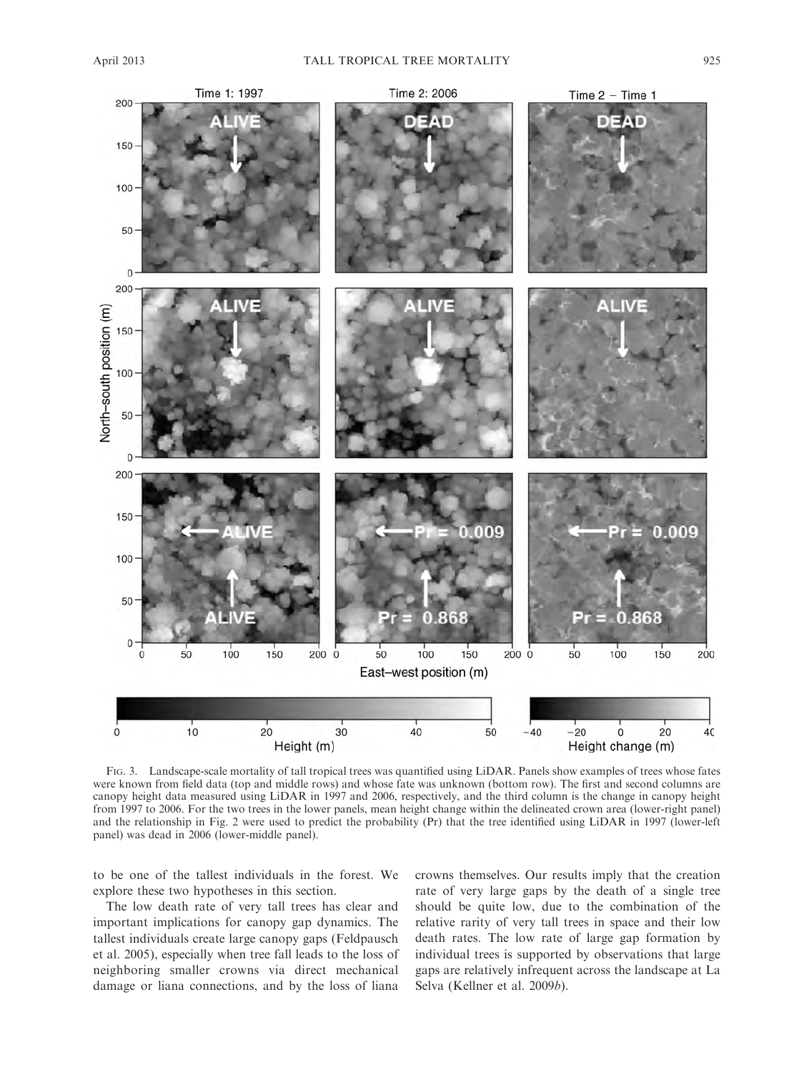

FIG. 3. Landscape-scale mortality of tall tropical trees was quantified using LiDAR. Panels show examples of trees whose fates were known from field data (top and middle rows) and whose fate was unknown (bottom row). The first and second columns are canopy height data measured using LiDAR in 1997 and 2006, respectively, and the third column is the change in canopy height from 1997 to 2006. For the two trees in the lower panels, mean height change within the delineated crown area (lower-right panel) and the relationship in Fig. 2 were used to predict the probability (Pr) that the tree identified using LiDAR in 1997 (lower-left panel) was dead in 2006 (lower-middle panel).

to be one of the tallest individuals in the forest. We explore these two hypotheses in this section.

The low death rate of very tall trees has clear and important implications for canopy gap dynamics. The tallest individuals create large canopy gaps (Feldpausch et al. 2005), especially when tree fall leads to the loss of neighboring smaller crowns via direct mechanical damage or liana connections, and by the loss of liana crowns themselves. Our results imply that the creation rate of very large gaps by the death of a single tree should be quite low, due to the combination of the relative rarity of very tall trees in space and their low death rates. The low rate of large gap formation by individual trees is supported by observations that large gaps are relatively infrequent across the landscape at La Selva (Kellner et al. 2009b).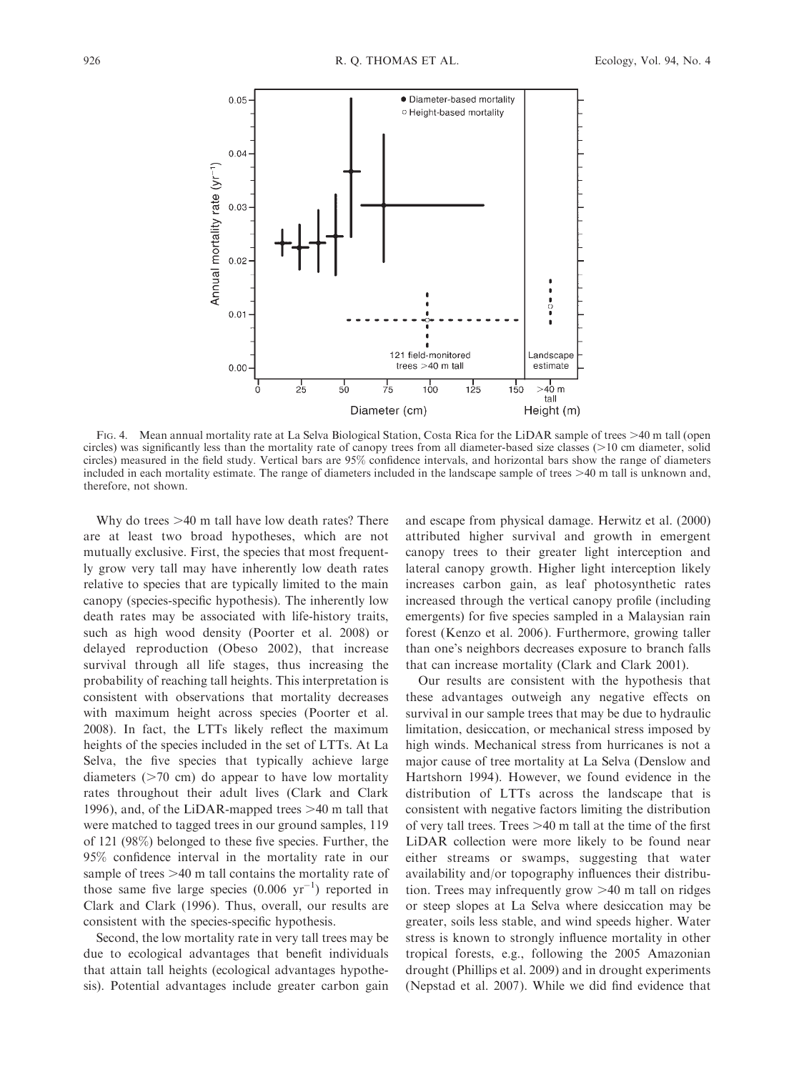

FIG. 4. Mean annual mortality rate at La Selva Biological Station, Costa Rica for the LiDAR sample of trees >40 m tall (open circles) was significantly less than the mortality rate of canopy trees from all diameter-based size classes  $(>10 \text{ cm diameter}, \text{solid})$ circles) measured in the field study. Vertical bars are 95% confidence intervals, and horizontal bars show the range of diameters included in each mortality estimate. The range of diameters included in the landscape sample of trees >40 m tall is unknown and, therefore, not shown.

Why do trees  $>40$  m tall have low death rates? There are at least two broad hypotheses, which are not mutually exclusive. First, the species that most frequently grow very tall may have inherently low death rates relative to species that are typically limited to the main canopy (species-specific hypothesis). The inherently low death rates may be associated with life-history traits, such as high wood density (Poorter et al. 2008) or delayed reproduction (Obeso 2002), that increase survival through all life stages, thus increasing the probability of reaching tall heights. This interpretation is consistent with observations that mortality decreases with maximum height across species (Poorter et al. 2008). In fact, the LTTs likely reflect the maximum heights of the species included in the set of LTTs. At La Selva, the five species that typically achieve large diameters  $(>=70 \text{ cm})$  do appear to have low mortality rates throughout their adult lives (Clark and Clark 1996), and, of the LiDAR-mapped trees  $>40$  m tall that were matched to tagged trees in our ground samples, 119 of 121 (98%) belonged to these five species. Further, the 95% confidence interval in the mortality rate in our sample of trees  $>40$  m tall contains the mortality rate of those same five large species  $(0.006 \text{ yr}^{-1})$  reported in Clark and Clark (1996). Thus, overall, our results are consistent with the species-specific hypothesis.

Second, the low mortality rate in very tall trees may be due to ecological advantages that benefit individuals that attain tall heights (ecological advantages hypothesis). Potential advantages include greater carbon gain and escape from physical damage. Herwitz et al. (2000) attributed higher survival and growth in emergent canopy trees to their greater light interception and lateral canopy growth. Higher light interception likely increases carbon gain, as leaf photosynthetic rates increased through the vertical canopy profile (including emergents) for five species sampled in a Malaysian rain forest (Kenzo et al. 2006). Furthermore, growing taller than one's neighbors decreases exposure to branch falls that can increase mortality (Clark and Clark 2001).

Our results are consistent with the hypothesis that these advantages outweigh any negative effects on survival in our sample trees that may be due to hydraulic limitation, desiccation, or mechanical stress imposed by high winds. Mechanical stress from hurricanes is not a major cause of tree mortality at La Selva (Denslow and Hartshorn 1994). However, we found evidence in the distribution of LTTs across the landscape that is consistent with negative factors limiting the distribution of very tall trees. Trees  $>40$  m tall at the time of the first LiDAR collection were more likely to be found near either streams or swamps, suggesting that water availability and/or topography influences their distribution. Trees may infrequently grow  $>40$  m tall on ridges or steep slopes at La Selva where desiccation may be greater, soils less stable, and wind speeds higher. Water stress is known to strongly influence mortality in other tropical forests, e.g., following the 2005 Amazonian drought (Phillips et al. 2009) and in drought experiments (Nepstad et al. 2007). While we did find evidence that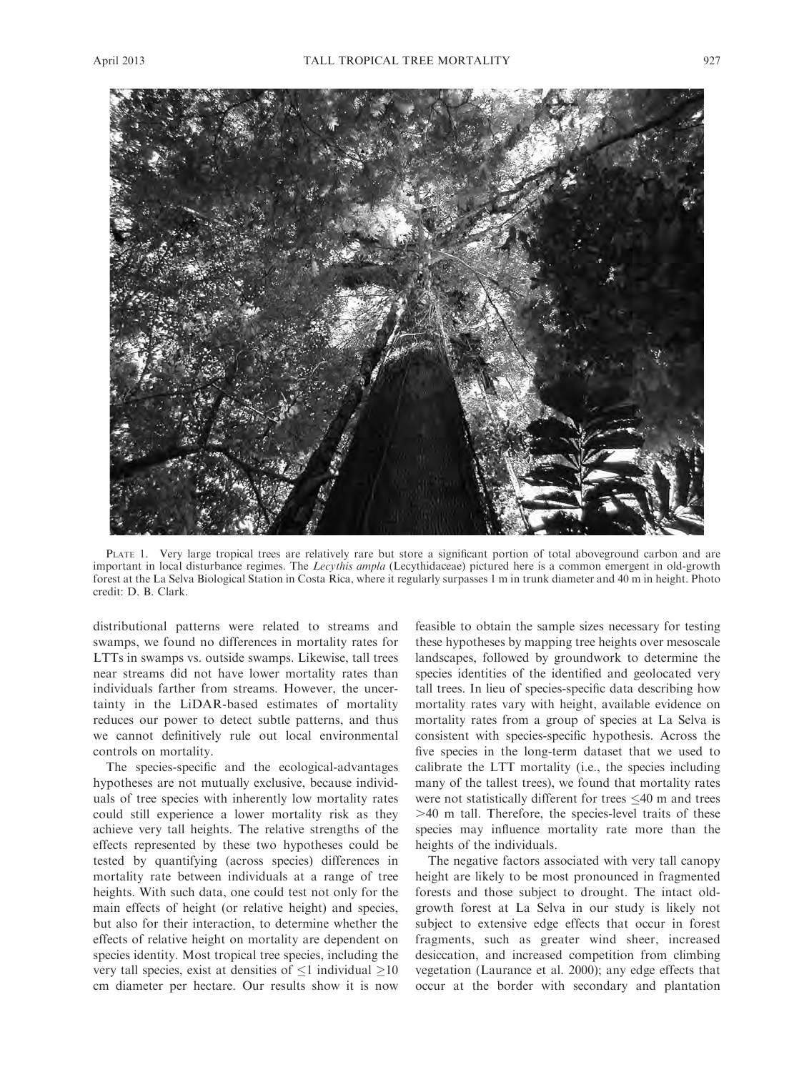

PLATE 1. Very large tropical trees are relatively rare but store a significant portion of total aboveground carbon and are important in local disturbance regimes. The Lecythis ampla (Lecythidaceae) pictured here is a common emergent in old-growth forest at the La Selva Biological Station in Costa Rica, where it regularly surpasses 1 m in trunk diameter and 40 m in height. Photo credit: D. B. Clark.

distributional patterns were related to streams and swamps, we found no differences in mortality rates for LTTs in swamps vs. outside swamps. Likewise, tall trees near streams did not have lower mortality rates than individuals farther from streams. However, the uncertainty in the LiDAR-based estimates of mortality reduces our power to detect subtle patterns, and thus we cannot definitively rule out local environmental controls on mortality.

The species-specific and the ecological-advantages hypotheses are not mutually exclusive, because individuals of tree species with inherently low mortality rates could still experience a lower mortality risk as they achieve very tall heights. The relative strengths of the effects represented by these two hypotheses could be tested by quantifying (across species) differences in mortality rate between individuals at a range of tree heights. With such data, one could test not only for the main effects of height (or relative height) and species, but also for their interaction, to determine whether the effects of relative height on mortality are dependent on species identity. Most tropical tree species, including the very tall species, exist at densities of  $\leq 1$  individual  $\geq 10$ cm diameter per hectare. Our results show it is now feasible to obtain the sample sizes necessary for testing these hypotheses by mapping tree heights over mesoscale landscapes, followed by groundwork to determine the species identities of the identified and geolocated very tall trees. In lieu of species-specific data describing how mortality rates vary with height, available evidence on mortality rates from a group of species at La Selva is consistent with species-specific hypothesis. Across the five species in the long-term dataset that we used to calibrate the LTT mortality (i.e., the species including many of the tallest trees), we found that mortality rates were not statistically different for trees <40 m and trees  $>40$  m tall. Therefore, the species-level traits of these species may influence mortality rate more than the heights of the individuals.

The negative factors associated with very tall canopy height are likely to be most pronounced in fragmented forests and those subject to drought. The intact oldgrowth forest at La Selva in our study is likely not subject to extensive edge effects that occur in forest fragments, such as greater wind sheer, increased desiccation, and increased competition from climbing vegetation (Laurance et al. 2000); any edge effects that occur at the border with secondary and plantation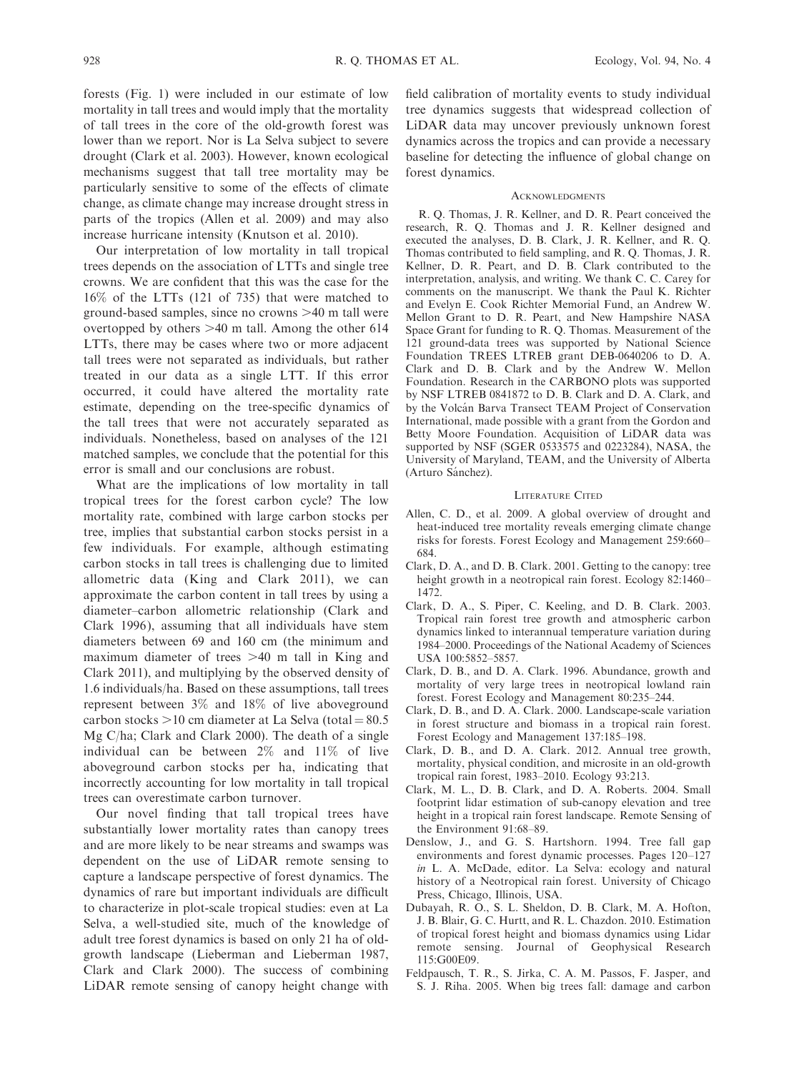forests (Fig. 1) were included in our estimate of low mortality in tall trees and would imply that the mortality of tall trees in the core of the old-growth forest was lower than we report. Nor is La Selva subject to severe drought (Clark et al. 2003). However, known ecological mechanisms suggest that tall tree mortality may be particularly sensitive to some of the effects of climate change, as climate change may increase drought stress in parts of the tropics (Allen et al. 2009) and may also increase hurricane intensity (Knutson et al. 2010).

Our interpretation of low mortality in tall tropical trees depends on the association of LTTs and single tree crowns. We are confident that this was the case for the 16% of the LTTs (121 of 735) that were matched to ground-based samples, since no crowns  $>40$  m tall were overtopped by others  $>40$  m tall. Among the other 614 LTTs, there may be cases where two or more adjacent tall trees were not separated as individuals, but rather treated in our data as a single LTT. If this error occurred, it could have altered the mortality rate estimate, depending on the tree-specific dynamics of the tall trees that were not accurately separated as individuals. Nonetheless, based on analyses of the 121 matched samples, we conclude that the potential for this error is small and our conclusions are robust.

What are the implications of low mortality in tall tropical trees for the forest carbon cycle? The low mortality rate, combined with large carbon stocks per tree, implies that substantial carbon stocks persist in a few individuals. For example, although estimating carbon stocks in tall trees is challenging due to limited allometric data (King and Clark 2011), we can approximate the carbon content in tall trees by using a diameter–carbon allometric relationship (Clark and Clark 1996), assuming that all individuals have stem diameters between 69 and 160 cm (the minimum and maximum diameter of trees  $>40$  m tall in King and Clark 2011), and multiplying by the observed density of 1.6 individuals/ha. Based on these assumptions, tall trees represent between 3% and 18% of live aboveground carbon stocks  $>10$  cm diameter at La Selva (total = 80.5) Mg C/ha; Clark and Clark 2000). The death of a single individual can be between 2% and 11% of live aboveground carbon stocks per ha, indicating that incorrectly accounting for low mortality in tall tropical trees can overestimate carbon turnover.

Our novel finding that tall tropical trees have substantially lower mortality rates than canopy trees and are more likely to be near streams and swamps was dependent on the use of LiDAR remote sensing to capture a landscape perspective of forest dynamics. The dynamics of rare but important individuals are difficult to characterize in plot-scale tropical studies: even at La Selva, a well-studied site, much of the knowledge of adult tree forest dynamics is based on only 21 ha of oldgrowth landscape (Lieberman and Lieberman 1987, Clark and Clark 2000). The success of combining LiDAR remote sensing of canopy height change with field calibration of mortality events to study individual tree dynamics suggests that widespread collection of LiDAR data may uncover previously unknown forest dynamics across the tropics and can provide a necessary baseline for detecting the influence of global change on forest dynamics.

### **ACKNOWLEDGMENTS**

R. Q. Thomas, J. R. Kellner, and D. R. Peart conceived the research, R. Q. Thomas and J. R. Kellner designed and executed the analyses, D. B. Clark, J. R. Kellner, and R. Q. Thomas contributed to field sampling, and R. Q. Thomas, J. R. Kellner, D. R. Peart, and D. B. Clark contributed to the interpretation, analysis, and writing. We thank C. C. Carey for comments on the manuscript. We thank the Paul K. Richter and Evelyn E. Cook Richter Memorial Fund, an Andrew W. Mellon Grant to D. R. Peart, and New Hampshire NASA Space Grant for funding to R. Q. Thomas. Measurement of the 121 ground-data trees was supported by National Science Foundation TREES LTREB grant DEB-0640206 to D. A. Clark and D. B. Clark and by the Andrew W. Mellon Foundation. Research in the CARBONO plots was supported by NSF LTREB 0841872 to D. B. Clark and D. A. Clark, and by the Volcán Barva Transect TEAM Project of Conservation International, made possible with a grant from the Gordon and Betty Moore Foundation. Acquisition of LiDAR data was supported by NSF (SGER 0533575 and 0223284), NASA, the University of Maryland, TEAM, and the University of Alberta (Arturo Sánchez).

#### LITERATURE CITED

- Allen, C. D., et al. 2009. A global overview of drought and heat-induced tree mortality reveals emerging climate change risks for forests. Forest Ecology and Management 259:660– 684.
- Clark, D. A., and D. B. Clark. 2001. Getting to the canopy: tree height growth in a neotropical rain forest. Ecology 82:1460– 1472.
- Clark, D. A., S. Piper, C. Keeling, and D. B. Clark. 2003. Tropical rain forest tree growth and atmospheric carbon dynamics linked to interannual temperature variation during 1984–2000. Proceedings of the National Academy of Sciences USA 100:5852–5857.
- Clark, D. B., and D. A. Clark. 1996. Abundance, growth and mortality of very large trees in neotropical lowland rain forest. Forest Ecology and Management 80:235–244.
- Clark, D. B., and D. A. Clark. 2000. Landscape-scale variation in forest structure and biomass in a tropical rain forest. Forest Ecology and Management 137:185–198.
- Clark, D. B., and D. A. Clark. 2012. Annual tree growth, mortality, physical condition, and microsite in an old-growth tropical rain forest, 1983–2010. Ecology 93:213.
- Clark, M. L., D. B. Clark, and D. A. Roberts. 2004. Small footprint lidar estimation of sub-canopy elevation and tree height in a tropical rain forest landscape. Remote Sensing of the Environment 91:68–89.
- Denslow, J., and G. S. Hartshorn. 1994. Tree fall gap environments and forest dynamic processes. Pages 120–127 in L. A. McDade, editor. La Selva: ecology and natural history of a Neotropical rain forest. University of Chicago Press, Chicago, Illinois, USA.
- Dubayah, R. O., S. L. Sheldon, D. B. Clark, M. A. Hofton, J. B. Blair, G. C. Hurtt, and R. L. Chazdon. 2010. Estimation of tropical forest height and biomass dynamics using Lidar remote sensing. Journal of Geophysical Research 115:G00E09.
- Feldpausch, T. R., S. Jirka, C. A. M. Passos, F. Jasper, and S. J. Riha. 2005. When big trees fall: damage and carbon